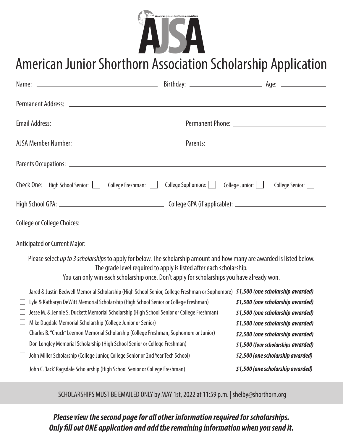# **Experimental junior** shorthorn association

# American Junior Shorthorn Association Scholarship Application

| Check One: High School Senior:     College Freshman:                                                                                                                                                                                                                                         | College Sophomore: | College Junior: $\Box$<br>College Senior: |
|----------------------------------------------------------------------------------------------------------------------------------------------------------------------------------------------------------------------------------------------------------------------------------------------|--------------------|-------------------------------------------|
|                                                                                                                                                                                                                                                                                              |                    |                                           |
|                                                                                                                                                                                                                                                                                              |                    |                                           |
|                                                                                                                                                                                                                                                                                              |                    |                                           |
| Please select up to 3 scholarships to apply for below. The scholarship amount and how many are awarded is listed below.<br>The grade level required to apply is listed after each scholarship.<br>You can only win each scholarship once. Don't apply for scholarships you have already won. |                    |                                           |
| Jared & Justin Bedwell Memorial Scholarship (High School Senior, College Freshman or Sophomore) \$1,500 (one scholarship awarded)                                                                                                                                                            |                    |                                           |
| Lyle & Katharyn DeWitt Memorial Scholarship (High School Senior or College Freshman)                                                                                                                                                                                                         |                    | \$1,500 (one scholarship awarded)         |
| Jesse M. & Jennie S. Duckett Memorial Scholarship (High School Senior or College Freshman)                                                                                                                                                                                                   |                    | \$1,500 (one scholarship awarded)         |
| Mike Dugdale Memorial Scholarship (College Junior or Senior)                                                                                                                                                                                                                                 |                    | \$1,500 (one scholarship awarded)         |
| Charles B. "Chuck" Leemon Memorial Scholarship (College Freshman, Sophomore or Junior)                                                                                                                                                                                                       |                    | \$2,500 (one scholarship awarded)         |
| Don Longley Memorial Scholarship (High School Senior or College Freshman)                                                                                                                                                                                                                    |                    | \$1,500 (four scholarships awarded)       |
| John Miller Scholarship (College Junior, College Senior or 2nd Year Tech School)                                                                                                                                                                                                             |                    | \$2,500 (one scholarship awarded)         |
| John C. 'Jack' Ragsdale Scholarship (High School Senior or College Freshman)                                                                                                                                                                                                                 |                    | \$1,500 (one scholarship awarded)         |

SCHOLARSHIPS MUST BE EMAILED ONLY by MAY 1st, 2022 at 11:59 p.m. | shelby@shorthorn.org

*Please view the second page for all other information required for scholarships. Only fill out ONE application and add the remaining information when you send it.*